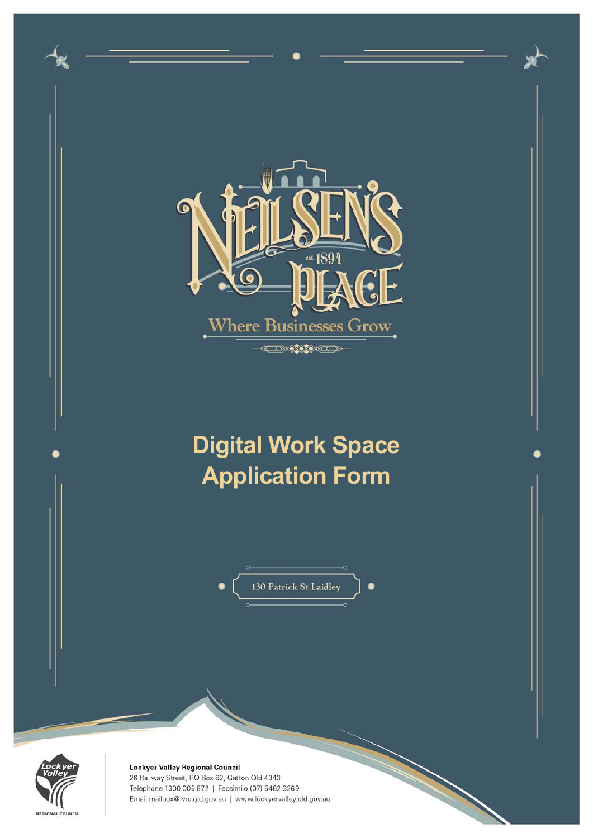



Lockyer Valley Regional Council 26 Railway Street, PO Box 82, Gatton Qld 4343 Telephone 1300 005 872 | Facsimile (07) 5462 3269 Email mailbox@lvrc.qld.gov.au | www.lockyervalley.qld.gov.au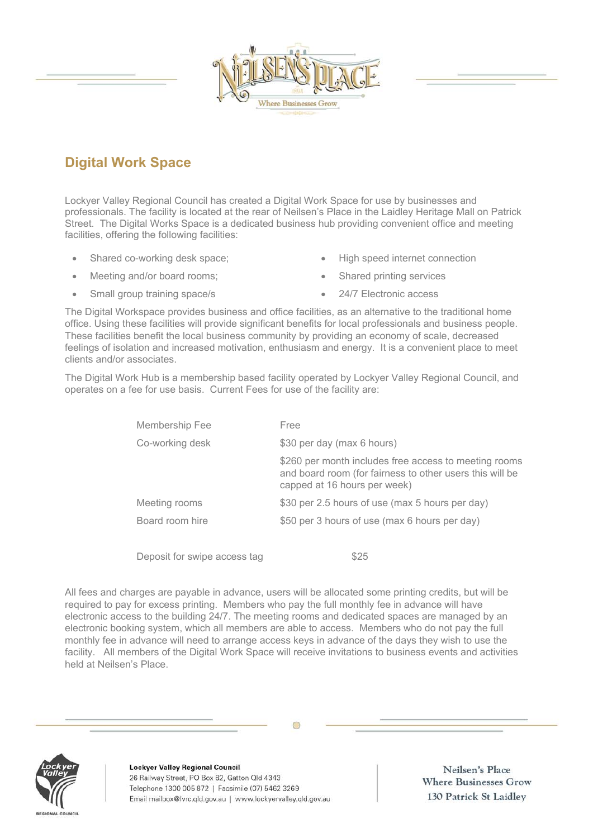Lockyer Valley Regional Council has created a Digital Work Space for use by businesses and professionals. The facility is located at the rear of Neilsen's Place in the Laidley Heritage Mall on Patrick Street. The Digital Works Space is a dedicated business hub providing convenient office and meeting facilities, offering the following facilities:

- Shared co-working desk space;
- Meeting and/or board rooms;
- Small group training space/s
- High speed internet connection
- Shared printing services
- 24/7 Electronic access

The Digital Workspace provides business and office facilities, as an alternative to the traditional home office. Using these facilities will provide significant benefits for local professionals and business people. These facilities benefit the local business community by providing an economy of scale, decreased feelings of isolation and increased motivation, enthusiasm and energy. It is a convenient place to meet clients and/or associates.

The Digital Work Hub is a membership based facility operated by Lockyer Valley Regional Council, and operates on a fee for use basis. Current Fees for use of the facility are:

| Membership Fee               | Free                                                                                                                                              |  |
|------------------------------|---------------------------------------------------------------------------------------------------------------------------------------------------|--|
| Co-working desk              | \$30 per day (max 6 hours)                                                                                                                        |  |
|                              | \$260 per month includes free access to meeting rooms<br>and board room (for fairness to other users this will be<br>capped at 16 hours per week) |  |
| Meeting rooms                | \$30 per 2.5 hours of use (max 5 hours per day)                                                                                                   |  |
| Board room hire              | \$50 per 3 hours of use (max 6 hours per day)                                                                                                     |  |
|                              |                                                                                                                                                   |  |
| Deposit for swipe access tag | \$25                                                                                                                                              |  |

All fees and charges are payable in advance, users will be allocated some printing credits, but will be required to pay for excess printing. Members who pay the full monthly fee in advance will have electronic access to the building 24/7. The meeting rooms and dedicated spaces are managed by an electronic booking system, which all members are able to access. Members who do not pay the full monthly fee in advance will need to arrange access keys in advance of the days they wish to use the facility. All members of the Digital Work Space will receive invitations to business events and activities held at Neilsen's Place.



Lockyer Valley Regional Council 26 Railway Street, PO Box 82, Gatton Qld 4343 Telephone 1300 005 872 | Facsimile (07) 5462 3269 Email mailbox@lvrc.qld.gov.au | www.lockyervalley.qld.gov.au

Neilsen's Place **Where Businesses Grow** 130 Patrick St Laidley



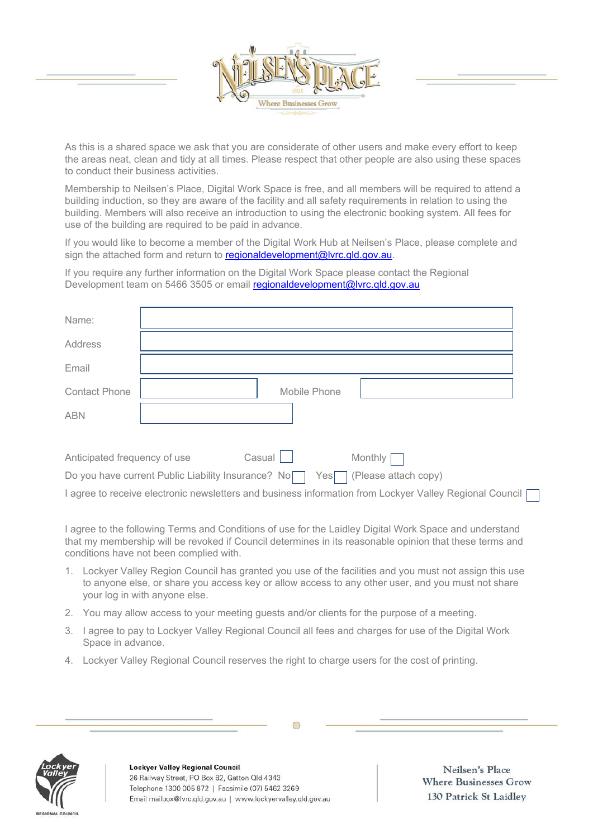

As this is a shared space we ask that you are considerate of other users and make every effort to keep the areas neat, clean and tidy at all times. Please respect that other people are also using these spaces to conduct their business activities.

Membership to Neilsen's Place, Digital Work Space is free, and all members will be required to attend a building induction, so they are aware of the facility and all safety requirements in relation to using the building. Members will also receive an introduction to using the electronic booking system. All fees for use of the building are required to be paid in advance.

If you would like to become a member of the Digital Work Hub at Neilsen's Place, please complete and sign the attached form and return to regionaldevelopment@lvrc.qld.gov.au.

If you require any further information on the Digital Work Space please contact the Regional Development team on 5466 3505 or email regionaldevelopment@lvrc.qld.gov.au

| Name:                        |                                                                                   |
|------------------------------|-----------------------------------------------------------------------------------|
| Address                      |                                                                                   |
| Email                        |                                                                                   |
| <b>Contact Phone</b>         | Mobile Phone                                                                      |
| <b>ABN</b>                   |                                                                                   |
|                              |                                                                                   |
| Anticipated frequency of use | $\text{Casual}$<br>Monthly [                                                      |
|                              | Do you have current Public Liability Insurance? No<br>(Please attach copy)<br>Yes |

I agree to receive electronic newsletters and business information from Lockyer Valley Regional Council

I agree to the following Terms and Conditions of use for the Laidley Digital Work Space and understand that my membership will be revoked if Council determines in its reasonable opinion that these terms and conditions have not been complied with.

- 1. Lockyer Valley Region Council has granted you use of the facilities and you must not assign this use to anyone else, or share you access key or allow access to any other user, and you must not share your log in with anyone else.
- 2. You may allow access to your meeting guests and/or clients for the purpose of a meeting.
- 3. I agree to pay to Lockyer Valley Regional Council all fees and charges for use of the Digital Work Space in advance.
- 4. Lockyer Valley Regional Council reserves the right to charge users for the cost of printing.



Lockyer Valley Regional Council 26 Railway Street, PO Box 82, Gatton Qld 4343 Telephone 1300 005 872 | Facsimile (07) 5462 3269 Email mailbox@lvrc.qld.gov.au | www.lockyervalley.qld.gov.au

Neilsen's Place **Where Businesses Grow** 130 Patrick St Laidley